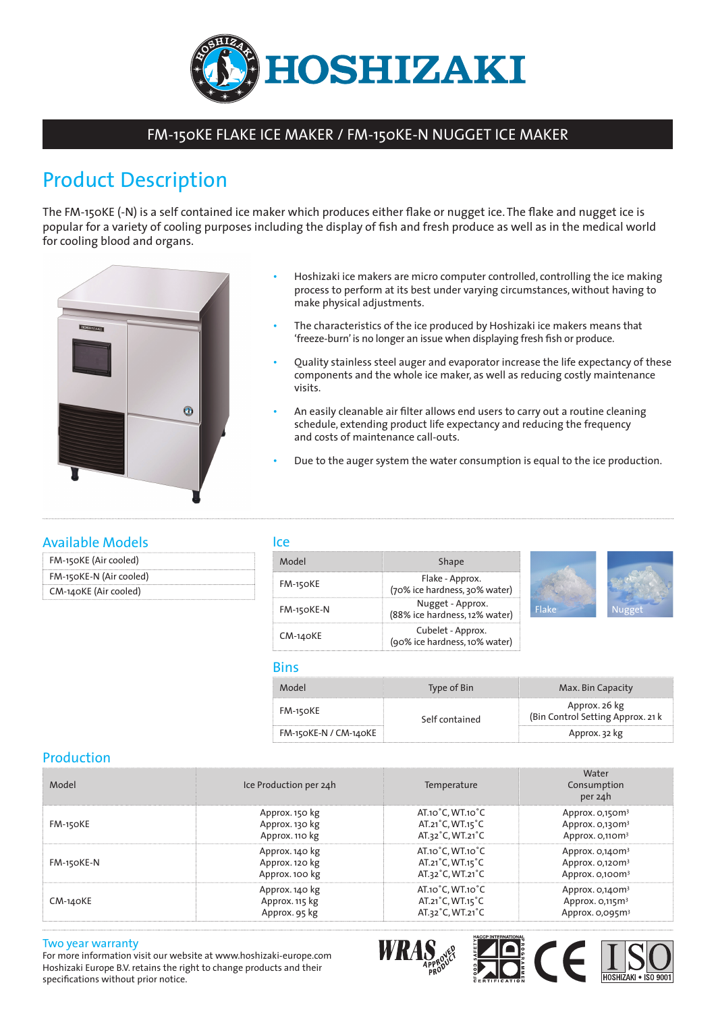

## FM-150KE FLAKE ICE MAKER / FM-150KE-N NUGGET ICE MAKER

# Product Description

The FM-150KE (-N) is a self contained ice maker which produces either flake or nugget ice. The flake and nugget ice is popular for a variety of cooling purposes including the display of fish and fresh produce as well as in the medical world for cooling blood and organs.



- Hoshizaki ice makers are micro computer controlled, controlling the ice making process to perform at its best under varying circumstances, without having to make physical adjustments.
- The characteristics of the ice produced by Hoshizaki ice makers means that 'freeze-burn' is no longer an issue when displaying fresh fish or produce.
- Quality stainless steel auger and evaporator increase the life expectancy of these components and the whole ice maker, as well as reducing costly maintenance visits.
- An easily cleanable air filter allows end users to carry out a routine cleaning schedule, extending product life expectancy and reducing the frequency and costs of maintenance call-outs.
- Due to the auger system the water consumption is equal to the ice production.

## Available Models

| FM-150KE (Air cooled)   |  |
|-------------------------|--|
| FM-150KE-N (Air cooled) |  |
| CM-140KE (Air cooled)   |  |

#### Ice

| Model           | Shape                                              |
|-----------------|----------------------------------------------------|
| <b>FM-150KE</b> | Flake - Approx.<br>(70% ice hardness, 30% water)   |
| FM-150KE-N      | Nugget - Approx.<br>(88% ice hardness, 12% water)  |
| CM-140KE        | Cubelet - Approx.<br>(90% ice hardness, 10% water) |



#### **Bins**

| Model                 | Type of Bin    | Max. Bin Capacity                                  |
|-----------------------|----------------|----------------------------------------------------|
| FM-150KE              | Self contained | Approx. 26 kg<br>(Bin Control Setting Approx. 21 k |
| FM-150KE-N / CM-140KE |                | Approx. 32 kg                                      |

### Production

| Model      | Ice Production per 24h | Temperature                      | Water<br>Consumption<br>per 24h |
|------------|------------------------|----------------------------------|---------------------------------|
| FM-150KE   | Approx. 150 kg         | $AT.10^{\circ}C, WT.10^{\circ}C$ | Approx. 0,150m <sup>3</sup>     |
|            | Approx. 130 kg         | AT.21°C, WT.15°C                 | Approx. 0,130m <sup>3</sup>     |
|            | Approx. 110 kg         | AT.32°C, WT.21°C                 | Approx. 0,110m <sup>3</sup>     |
| FM-150KE-N | Approx. 140 kg         | AT.10°C, WT.10°C                 | Approx. $O,14$ Om <sup>3</sup>  |
|            | Approx. 120 kg         | AT.21°C, WT.15°C                 | Approx. 0,120m <sup>3</sup>     |
|            | Approx. 100 kg         | AT.32°C, WT.21°C                 | Approx. 0,100m <sup>3</sup>     |
| $CM-140KE$ | Approx. 140 kg         | AT.10°C, WT.10°C                 | Approx. $O,14$ Om <sup>3</sup>  |
|            | Approx. 115 kg         | AT.21°C, WT.15°C                 | Approx. 0,115m <sup>3</sup>     |
|            | Approx. 95 kg          | AT.32°C, WT.21°C                 | Approx. 0,095m <sup>3</sup>     |

#### Two year warranty

For more information visit our website at www.hoshizaki-europe.com Hoshizaki Europe B.V. retains the right to change products and their specifications without prior notice.